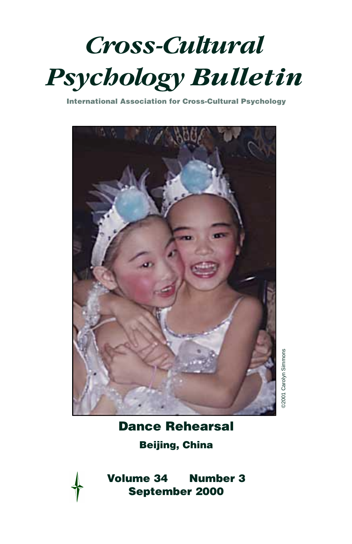<span id="page-0-0"></span>

**International Association for Cross-Cultural Psychology**



92001 Carolyn Simmons ©2001 Carolyn Simmons

**[Dance Rehearsal](#page-4-0)**

**Beijing, China**



**Volume 34 Number 3 September 2000**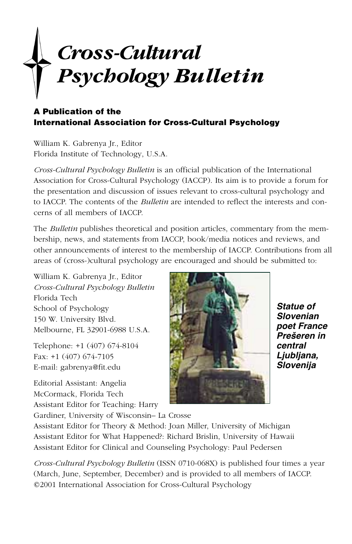# *Cross-Cultural Psychology Bulletin*

#### **A Publication of the International Association for Cross-Cultural Psychology**

William K. Gabrenya Jr., Editor Florida Institute of Technology, U.S.A.

*Cross-Cultural Psychology Bulletin* is an official publication of the International Association for Cross-Cultural Psychology (IACCP). Its aim is to provide a forum for the presentation and discussion of issues relevant to cross-cultural psychology and to IACCP. The contents of the *Bulletin* are intended to reflect the interests and concerns of all members of IACCP.

The *Bulletin* publishes theoretical and position articles, commentary from the membership, news, and statements from IACCP, book/media notices and reviews, and other announcements of interest to the membership of IACCP. Contributions from all areas of (cross-)cultural psychology are encouraged and should be submitted to:

William K. Gabrenya Jr., Editor *Cross-Cultural Psychology Bulletin* Florida Tech School of Psychology 150 W. University Blvd. Melbourne, FL 32901-6988 U.S.A.

Telephone: +1 (407) 674-8104 Fax: +1 (407) 674-7105 E-mail: gabrenya@fit.edu

Editorial Assistant: Angelia McCormack, Florida Tech Assistant Editor for Teaching: Harry



**Statue of Slovenian poet France Prešeren in central Ljubljana, Slovenija**

Gardiner, University of Wisconsin– La Crosse

Assistant Editor for Theory & Method: Joan Miller, University of Michigan Assistant Editor for What Happened?: Richard Brislin, University of Hawaii Assistant Editor for Clinical and Counseling Psychology: Paul Pedersen

*Cross-Cultural Psychology Bulletin* (ISSN 0710-068X) is published four times a year (March, June, September, December) and is provided to all members of IACCP. ©2001 International Association for Cross-Cultural Psychology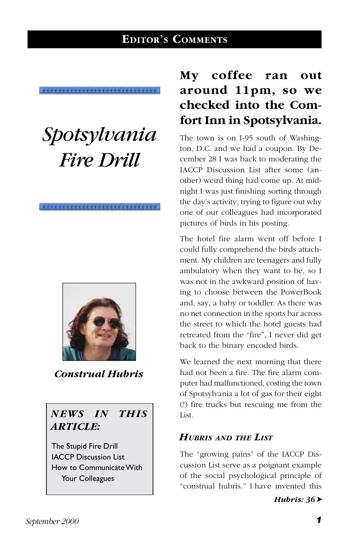# **EDITOR'S COMMENTS**

# <span id="page-2-0"></span>*Spotsylvania Fire Drill*



*Construal Hubris*

## *NEWS IN THIS ARTICLE:*

The Stupid Fire Drill IACCP Discussion List How to Communicate With Your Colleagues

# **My coffee ran out around 11pm, so we checked into the Comfort Inn in Spotsylvania.**

The town is on I-95 south of Washington, D.C. and we had a coupon. By December 28 I was back to moderating the IACCP Discussion List after some (another) weird thing had come up. At midnight I was just finishing sorting through the day's activity, trying to figure out why one of our colleagues had incorporated pictures of birds in his posting.

The hotel fire alarm went off before I could fully comprehend the birds attachment. My children are teenagers and fully ambulatory when they want to be, so I was not in the awkward position of having to choose between the PowerBook and, say, a baby or toddler. As there was no net connection in the sports bar across the street to which the hotel guests had retreated from the "fire", I never did get back to the binary encoded birds.

We learned the next morning that there had not been a fire. The fire alarm computer had malfunctioned, costing the town of Spotsylvania a lot of gas for their eight (!) fire trucks but rescuing me from the List.

#### *HUBRIS AND THE LIST*

The "growing pains" of the IACCP Discussion List serve as a poignant example of the social psychological principle of "construal hubris." I have invented this

*Hubris: 36*➤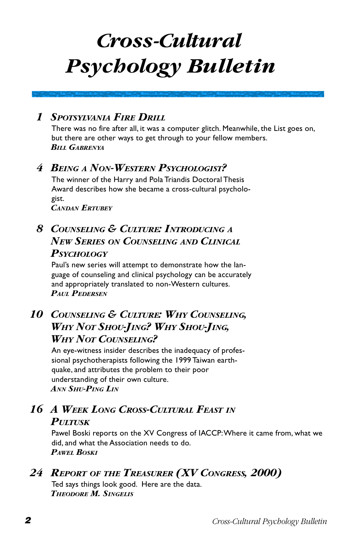# *Cross-Cultural Psychology Bulletin*

## *1 SPOTSYLVANIA FIRE DRILL*

[There was no fire after all, it was a computer glitch. Meanwhile, the List goes on,](#page-2-0) but there are other ways to get through to your fellow members. *BILL GABRENYA*

## *4 BEING [A NON-WESTERN PSYCHOLOGIST?](#page-5-0)*

The winner of the Harry and Pola Triandis Doctoral Thesis Award describes how she became a cross-cultural psychologist. *CANDAN ERTUBEY*

# *[8 COUNSELING & CULTURE: INTRODUCING](#page-9-0) A NEW SERIES ON COUNSELING AND CLINICAL PSYCHOLOGY*

Paul's new series will attempt to demonstrate how the language of counseling and clinical psychology can be accurately and appropriately translated to non-Western cultures. *PAUL PEDERSEN*

## *[10 COUNSELING & CULTURE: WHY COUNSELING,](#page-11-0) WHY NOT SHOU-JING? WHY SHOU-JING, WHY NOT COUNSELING?*

An eye-witness insider describes the inadequacy of professional psychotherapists following the 1999 Taiwan earthquake, and attributes the problem to their poor understanding of their own culture. *ANN SHU-PING LIN*

# *[16 A WEEK LONG CROSS-CULTURAL FEAST](#page-17-0) IN PULTUSK*

Pawel Boski reports on the XV Congress of IACCP: Where it came from, what we did, and what the Association needs to do. *PAWEL BOSKI*

# *24 REPORT OF [THE TREASURER \(XV CONGRESS, 2000\)](#page-25-0)*

Ted says things look good. Here are the data. *THEODORE M. SINGELIS*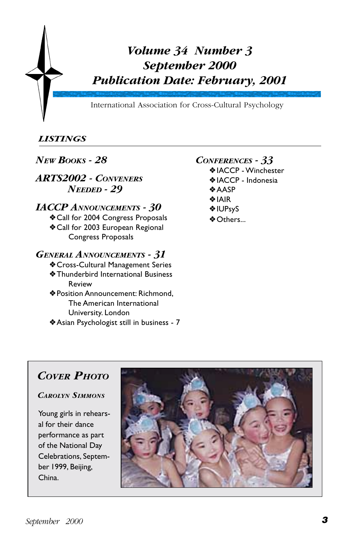<span id="page-4-0"></span>

## *LISTINGS*

### *[NEW BOOKS - 28](#page-29-0)*

*[ARTS2002 - CONVENERS](#page-30-0) NEEDED - 29*

#### *[IACCP ANNOUNCEMENTS - 30](#page-31-0)*

❖ Call for 2004 Congress Proposals ❖ Call for 2003 European Regional Congress Proposals

#### *[GENERAL ANNOUNCEMENTS - 31](#page-32-0)*

- ❖ Cross-Cultural Management Series
- ❖ Thunderbird International Business Review
- ❖ Position Announcement: Richmond, The American International University. London
- ❖ [Asian Psychologist still in business 7](#page-8-0)

#### *[CONFERENCES - 33](#page-34-0)*

- ❖ IACCP Winchester
- ❖ IACCP Indonesia
- ❖ AASP
- ❖ IAIR
- ❖ IUPsyS
- ❖ Others...

# *[COVER PHOTO](#page-0-0)*

*CAROLYN SIMMONS*

Young girls in rehearsal for their dance performance as part of the National Day Celebrations, September 1999, Beijing, China.

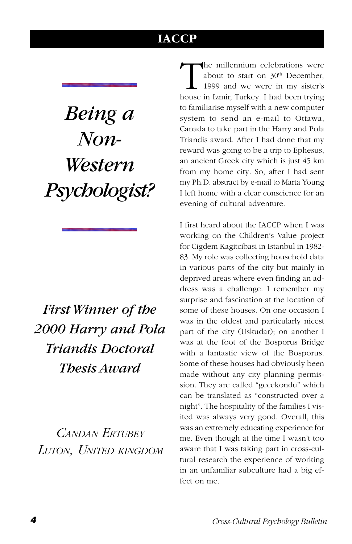# **IACCP**

# <span id="page-5-0"></span>*Being a Non-Western Psychologist?*

# *First Winner of the 2000 Harry and Pola Triandis Doctoral Thesis Award*

*CANDAN ERTUBEY LUTON, UNITED KINGDOM*

The millennium celebrations were<br>about to start on  $30^{\text{th}}$  December,<br>1999 and we were in my sister's<br>house in Izmir Turkey I had been trying about to start on 30<sup>th</sup> December, 1999 and we were in my sister's house in Izmir, Turkey. I had been trying to familiarise myself with a new computer system to send an e-mail to Ottawa, Canada to take part in the Harry and Pola Triandis award. After I had done that my reward was going to be a trip to Ephesus, an ancient Greek city which is just 45 km from my home city. So, after I had sent my Ph.D. abstract by e-mail to Marta Young I left home with a clear conscience for an evening of cultural adventure.

I first heard about the IACCP when I was working on the Children's Value project for Cigdem Kagitcibasi in Istanbul in 1982- 83. My role was collecting household data in various parts of the city but mainly in deprived areas where even finding an address was a challenge. I remember my surprise and fascination at the location of some of these houses. On one occasion I was in the oldest and particularly nicest part of the city (Uskudar); on another I was at the foot of the Bosporus Bridge with a fantastic view of the Bosporus. Some of these houses had obviously been made without any city planning permission. They are called "gecekondu" which can be translated as "constructed over a night". The hospitality of the families I visited was always very good. Overall, this was an extremely educating experience for me. Even though at the time I wasn't too aware that I was taking part in cross-cultural research the experience of working in an unfamiliar subculture had a big effect on me.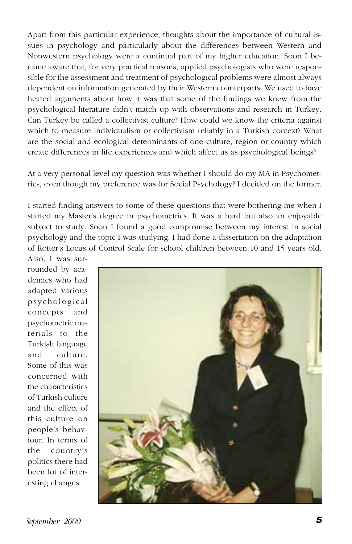Apart from this particular experience, thoughts about the importance of cultural issues in psychology and particularly about the differences between Western and Nonwestern psychology were a continual part of my higher education. Soon I became aware that, for very practical reasons, applied psychologists who were responsible for the assessment and treatment of psychological problems were almost always dependent on information generated by their Western counterparts. We used to have heated arguments about how it was that some of the findings we knew from the psychological literature didn't match up with observations and research in Turkey. Can Turkey be called a collectivist culture? How could we know the criteria against which to measure individualism or collectivism reliably in a Turkish context? What are the social and ecological determinants of one culture, region or country which create differences in life experiences and which affect us as psychological beings?

At a very personal level my question was whether I should do my MA in Psychometrics, even though my preference was for Social Psychology? I decided on the former.

I started finding answers to some of these questions that were bothering me when I started my Master's degree in psychometrics. It was a hard but also an enjoyable subject to study. Soon I found a good compromise between my interest in social psychology and the topic I was studying. I had done a dissertation on the adaptation of Rotter's Locus of Control Scale for school children between 10 and 15 years old.

Also, I was surrounded by academics who had adapted various psychological concepts and psychometric materials to the Turkish language and culture. Some of this was concerned with the characteristics of Turkish culture and the effect of this culture on people's behaviour. In terms of the country's politics there had been lot of interesting changes.

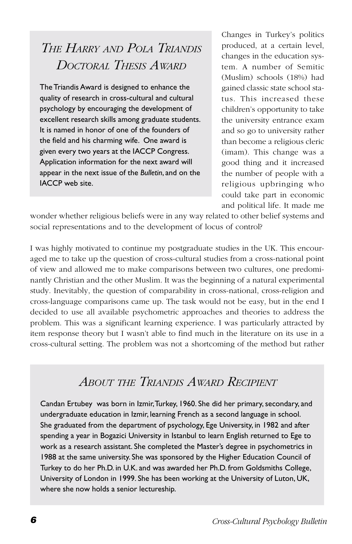# *THE HARRY AND POLA TRIANDIS DOCTORAL THESIS AWARD*

The Triandis Award is designed to enhance the quality of research in cross-cultural and cultural psychology by encouraging the development of excellent research skills among graduate students. It is named in honor of one of the founders of the field and his charming wife. One award is given every two years at the IACCP Congress. Application information for the next award will appear in the next issue of the *Bulletin*, and on the IACCP web site.

Changes in Turkey's politics produced, at a certain level, changes in the education system. A number of Semitic (Muslim) schools (18%) had gained classic state school status. This increased these children's opportunity to take the university entrance exam and so go to university rather than become a religious cleric (imam). This change was a good thing and it increased the number of people with a religious upbringing who could take part in economic and political life. It made me

wonder whether religious beliefs were in any way related to other belief systems and social representations and to the development of locus of control?

I was highly motivated to continue my postgraduate studies in the UK. This encouraged me to take up the question of cross-cultural studies from a cross-national point of view and allowed me to make comparisons between two cultures, one predominantly Christian and the other Muslim. It was the beginning of a natural experimental study. Inevitably, the question of comparability in cross-national, cross-religion and cross-language comparisons came up. The task would not be easy, but in the end I decided to use all available psychometric approaches and theories to address the problem. This was a significant learning experience. I was particularly attracted by item response theory but I wasn't able to find much in the literature on its use in a cross-cultural setting. The problem was not a shortcoming of the method but rather

# *ABOUT THE TRIANDIS AWARD RECIPIENT*

Candan Ertubey was born in Izmir, Turkey, 1960. She did her primary, secondary, and undergraduate education in Izmir, learning French as a second language in school. She graduated from the department of psychology, Ege University, in 1982 and after spending a year in Bogazici University in Istanbul to learn English returned to Ege to work as a research assistant. She completed the Master's degree in psychometrics in 1988 at the same university. She was sponsored by the Higher Education Council of Turkey to do her Ph.D. in U.K. and was awarded her Ph.D. from Goldsmiths College, University of London in 1999. She has been working at the University of Luton, UK, where she now holds a senior lectureship.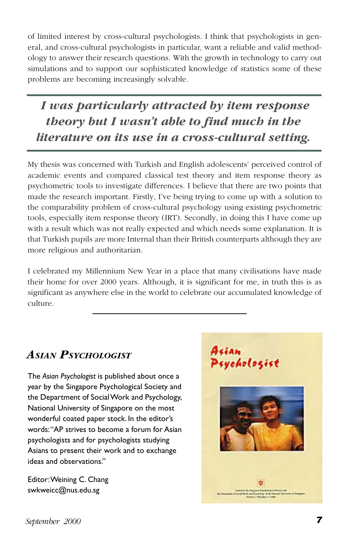<span id="page-8-0"></span>of limited interest by cross-cultural psychologists. I think that psychologists in general, and cross-cultural psychologists in particular, want a reliable and valid methodology to answer their research questions. With the growth in technology to carry out simulations and to support our sophisticated knowledge of statistics some of these problems are becoming increasingly solvable.

 *I was particularly attracted by item response theory but I wasn't able to find much in the literature on its use in a cross-cultural setting.*

My thesis was concerned with Turkish and English adolescents' perceived control of academic events and compared classical test theory and item response theory as psychometric tools to investigate differences. I believe that there are two points that made the research important. Firstly, I've being trying to come up with a solution to the comparability problem of cross-cultural psychology using existing psychometric tools, especially item response theory (IRT). Secondly, in doing this I have come up with a result which was not really expected and which needs some explanation. It is that Turkish pupils are more Internal than their British counterparts although they are more religious and authoritarian.

I celebrated my Millennium New Year in a place that many civilisations have made their home for over 2000 years. Although, it is significant for me, in truth this is as significant as anywhere else in the world to celebrate our accumulated knowledge of culture.

# *ASIAN PSYCHOLOGIST*

The *Asian Psychologist* is published about once a year by the Singapore Psychological Society and the Department of Social Work and Psychology, National University of Singapore on the most wonderful coated paper stock. In the editor's words: "AP strives to become a forum for Asian psychologists and for psychologists studying Asians to present their work and to exchange ideas and observations."

Editor: Weining C. Chang swkweicc@nus.edu.sg

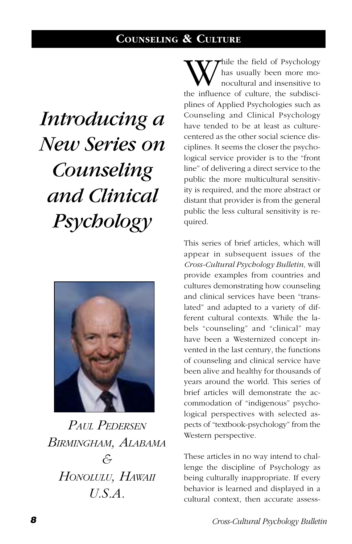# **COUNSELING & CULTURE**

# <span id="page-9-0"></span>*Introducing a New Series on Counseling and Clinical Psychology*



*PAUL PEDERSEN BIRMINGHAM, ALABAMA & HONOLULU, HAWAII U.S.A.*

hile the field of Psychology has usually been more monocultural and insensitive to the influence of culture, the subdisciplines of Applied Psychologies such as Counseling and Clinical Psychology have tended to be at least as culturecentered as the other social science disciplines. It seems the closer the psychological service provider is to the "front line" of delivering a direct service to the public the more multicultural sensitivity is required, and the more abstract or distant that provider is from the general public the less cultural sensitivity is required.

This series of brief articles, which will appear in subsequent issues of the *Cross-Cultural Psychology Bulletin,* will provide examples from countries and cultures demonstrating how counseling and clinical services have been "translated" and adapted to a variety of different cultural contexts. While the labels "counseling" and "clinical" may have been a Westernized concept invented in the last century, the functions of counseling and clinical service have been alive and healthy for thousands of years around the world. This series of brief articles will demonstrate the accommodation of "indigenous" psychological perspectives with selected aspects of "textbook-psychology" from the Western perspective.

These articles in no way intend to challenge the discipline of Psychology as being culturally inappropriate. If every behavior is learned and displayed in a cultural context, then accurate assess-

**<sup>8</sup>** *Cross-Cultural Psychology Bulletin*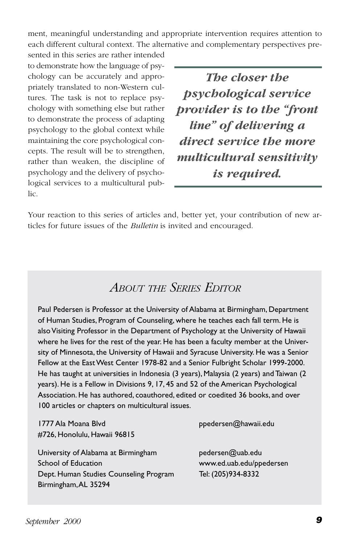ment, meaningful understanding and appropriate intervention requires attention to each different cultural context. The alternative and complementary perspectives pre-

sented in this series are rather intended to demonstrate how the language of psychology can be accurately and appropriately translated to non-Western cultures. The task is not to replace psychology with something else but rather to demonstrate the process of adapting psychology to the global context while maintaining the core psychological concepts. The result will be to strengthen, rather than weaken, the discipline of psychology and the delivery of psychological services to a multicultural public.

*The closer the psychological service provider is to the "front line" of delivering a direct service the more multicultural sensitivity is required.*

Your reaction to this series of articles and, better yet, your contribution of new articles for future issues of the *Bulletin* is invited and encouraged.

# *ABOUT THE SERIES EDITOR*

Paul Pedersen is Professor at the University of Alabama at Birmingham, Department of Human Studies, Program of Counseling, where he teaches each fall term. He is also Visiting Professor in the Department of Psychology at the University of Hawaii where he lives for the rest of the year. He has been a faculty member at the University of Minnesota, the University of Hawaii and Syracuse University. He was a Senior Fellow at the East West Center 1978-82 and a Senior Fulbright Scholar 1999-2000. He has taught at universities in Indonesia (3 years), Malaysia (2 years) and Taiwan (2 years). He is a Fellow in Divisions 9, 17, 45 and 52 of the American Psychological Association. He has authored, coauthored, edited or coedited 36 books, and over 100 articles or chapters on multicultural issues.

1777 Ala Moana Blvd ppedersen@hawaii.edu #726, Honolulu, Hawaii 96815

University of Alabama at Birmingham pedersen@uab.edu School of Education www.ed.uab.edu/ppedersen Dept. Human Studies Counseling Program Tel: (205)934-8332 Birmingham, AL 35294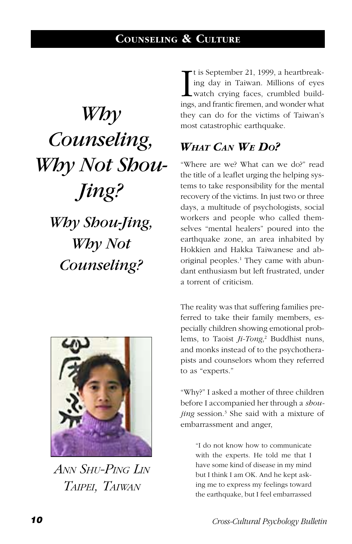<span id="page-11-0"></span>*Why Counseling, Why Not Shou-Jing? Why Shou-Jing, Why Not Counseling?*



*ANN SHU-PING LIN TAIPEI, TAIWAN*

It is September 21, 1999, a heartbreaking day in Taiwan. Millions of eyes watch crying faces, crumbled buildings, and frantic firemen, and wonder what t is September 21, 1999, a heartbreaking day in Taiwan. Millions of eyes watch crying faces, crumbled buildthey can do for the victims of Taiwan's most catastrophic earthquake.

# *WHAT CAN WE DO?*

"Where are we? What can we do?" read the title of a leaflet urging the helping systems to take responsibility for the mental recovery of the victims. In just two or three days, a multitude of psychologists, social workers and people who called themselves "mental healers" poured into the earthquake zone, an area inhabited by Hokkien and Hakka Taiwanese and aboriginal peoples.<sup>1</sup> They came with abundant enthusiasm but left frustrated, under a torrent of criticism.

The reality was that suffering families preferred to take their family members, especially children showing emotional problems, to Taoist *Ji-Tong*, 2 Buddhist nuns, and monks instead of to the psychotherapists and counselors whom they referred to as "experts."

"Why?" I asked a mother of three children before I accompanied her through a *shoujing* session.3 She said with a mixture of embarrassment and anger,

> "I do not know how to communicate with the experts. He told me that I have some kind of disease in my mind but I think I am OK. And he kept asking me to express my feelings toward the earthquake, but I feel embarrassed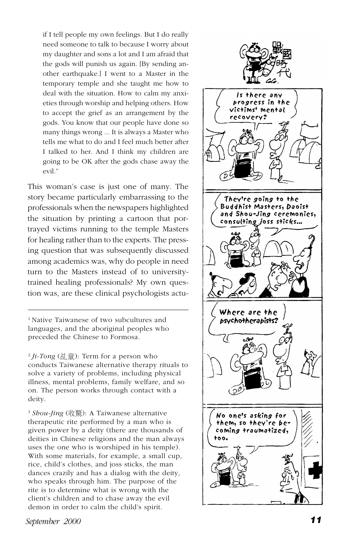if I tell people my own feelings. But I do really need someone to talk to because I worry about my daughter and sons a lot and I am afraid that the gods will punish us again. [By sending another earthquake.] I went to a Master in the temporary temple and she taught me how to deal with the situation. How to calm my anxieties through worship and helping others. How to accept the grief as an arrangement by the gods. You know that our people have done so many things wrong ... It is always a Master who tells me what to do and I feel much better after I talked to her. And I think my children are going to be OK after the gods chase away the evil."

This woman's case is just one of many. The story became particularly embarrassing to the professionals when the newspapers highlighted the situation by printing a cartoon that portrayed victims running to the temple Masters for healing rather than to the experts. The pressing question that was subsequently discussed among academics was, why do people in need turn to the Masters instead of to universitytrained healing professionals? My own question was, are these clinical psychologists actu-

1 Native Taiwanese of two subcultures and languages, and the aboriginal peoples who preceded the Chinese to Formosa.

 $^{2}$  *Ji-Tong* (乩童): Term for a person who conducts Taiwanese alternative therapy rituals to solve a variety of problems, including physical illness, mental problems, family welfare, and so on. The person works through contact with a deity.

<sup>3</sup> Shou-Jing (收驚): A Taiwanese alternative therapeutic rite performed by a man who is given power by a deity (there are thousands of deities in Chinese religions and the man always uses the one who is worshiped in his temple). With some materials, for example, a small cup, rice, child's clothes, and joss sticks, the man dances crazily and has a dialog with the deity, who speaks through him. The purpose of the rite is to determine what is wrong with the client's children and to chase away the evil demon in order to calm the child's spirit.

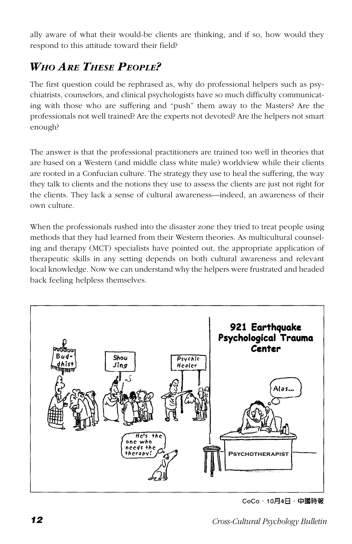ally aware of what their would-be clients are thinking, and if so, how would they respond to this attitude toward their field?

# *WHO ARE THESE PEOPLE?*

The first question could be rephrased as, why do professional helpers such as psychiatrists, counselors, and clinical psychologists have so much difficulty communicating with those who are suffering and "push" them away to the Masters? Are the professionals not well trained? Are the experts not devoted? Are the helpers not smart enough?

The answer is that the professional practitioners are trained too well in theories that are based on a Western (and middle class white male) worldview while their clients are rooted in a Confucian culture. The strategy they use to heal the suffering, the way they talk to clients and the notions they use to assess the clients are just not right for the clients. They lack a sense of cultural awareness—indeed, an awareness of their own culture.

When the professionals rushed into the disaster zone they tried to treat people using methods that they had learned from their Western theories. As multicultural counseling and therapy (MCT) specialists have pointed out, the appropriate application of therapeutic skills in any setting depends on both cultural awareness and relevant local knowledge. Now we can understand why the helpers were frustrated and headed back feeling helpless themselves.



CoCo・10月4日・中國時報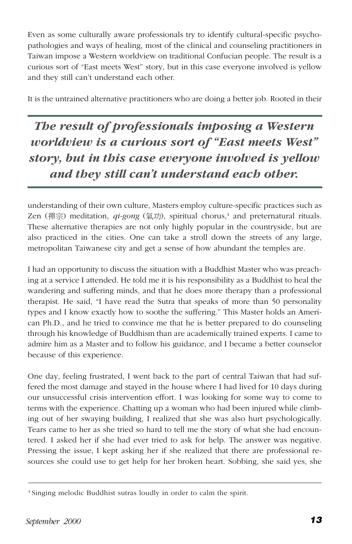Even as some culturally aware professionals try to identify cultural-specific psychopathologies and ways of healing, most of the clinical and counseling practitioners in Taiwan impose a Western worldview on traditional Confucian people. The result is a curious sort of "East meets West" story, but in this case everyone involved is yellow and they still can't understand each other.

It is the untrained alternative practitioners who are doing a better job. Rooted in their

*The result of professionals imposing a Western worldview is a curious sort of "East meets West" story, but in this case everyone involved is yellow and they still can't understand each other.*

understanding of their own culture, Masters employ culture-specific practices such as Zen (禪宗) meditation, *qi-gong* (氣功), spiritual chorus,<sup>4</sup> and preternatural rituals. These alternative therapies are not only highly popular in the countryside, but are also practiced in the cities. One can take a stroll down the streets of any large, metropolitan Taiwanese city and get a sense of how abundant the temples are.

I had an opportunity to discuss the situation with a Buddhist Master who was preaching at a service I attended. He told me it is his responsibility as a Buddhist to heal the wandering and suffering minds, and that he does more therapy than a professional therapist. He said, "I have read the Sutra that speaks of more than 50 personality types and I know exactly how to soothe the suffering." This Master holds an American Ph.D., and he tried to convince me that he is better prepared to do counseling through his knowledge of Buddhism than are academically trained experts. I came to admire him as a Master and to follow his guidance, and I became a better counselor because of this experience.

One day, feeling frustrated, I went back to the part of central Taiwan that had suffered the most damage and stayed in the house where I had lived for 10 days during our unsuccessful crisis intervention effort. I was looking for some way to come to terms with the experience. Chatting up a woman who had been injured while climbing out of her swaying building, I realized that she was also hurt psychologically. Tears came to her as she tried so hard to tell me the story of what she had encountered. I asked her if she had ever tried to ask for help. The answer was negative. Pressing the issue, I kept asking her if she realized that there are professional resources she could use to get help for her broken heart. Sobbing, she said yes, she

<sup>4</sup> Singing melodic Buddhist sutras loudly in order to calm the spirit.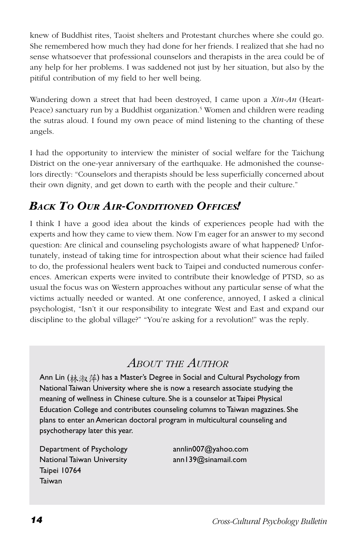knew of Buddhist rites, Taoist shelters and Protestant churches where she could go. She remembered how much they had done for her friends. I realized that she had no sense whatsoever that professional counselors and therapists in the area could be of any help for her problems. I was saddened not just by her situation, but also by the pitiful contribution of my field to her well being.

Wandering down a street that had been destroyed, I came upon a *Xin-An* (Heart-Peace) sanctuary run by a Buddhist organization.<sup>5</sup> Women and children were reading the sutras aloud. I found my own peace of mind listening to the chanting of these angels.

I had the opportunity to interview the minister of social welfare for the Taichung District on the one-year anniversary of the earthquake. He admonished the counselors directly: "Counselors and therapists should be less superficially concerned about their own dignity, and get down to earth with the people and their culture."

# *BACK TO OUR AIR-CONDITIONED OFFICES!*

I think I have a good idea about the kinds of experiences people had with the experts and how they came to view them. Now I'm eager for an answer to my second question: Are clinical and counseling psychologists aware of what happened? Unfortunately, instead of taking time for introspection about what their science had failed to do, the professional healers went back to Taipei and conducted numerous conferences. American experts were invited to contribute their knowledge of PTSD, so as usual the focus was on Western approaches without any particular sense of what the victims actually needed or wanted. At one conference, annoyed, I asked a clinical psychologist, "Isn't it our responsibility to integrate West and East and expand our discipline to the global village?" "You're asking for a revolution!" was the reply.

# *ABOUT THE AUTHOR*

Ann Lin (林海 萍) has a Master's Degree in Social and Cultural Psychology from National Taiwan University where she is now a research associate studying the meaning of wellness in Chinese culture. She is a counselor at Taipei Physical Education College and contributes counseling columns to Taiwan magazines. She plans to enter an American doctoral program in multicultural counseling and psychotherapy later this year.

Department of Psychology annlin007@yahoo.com National Taiwan University **ann139@sinamail.com** Taipei 10764 Taiwan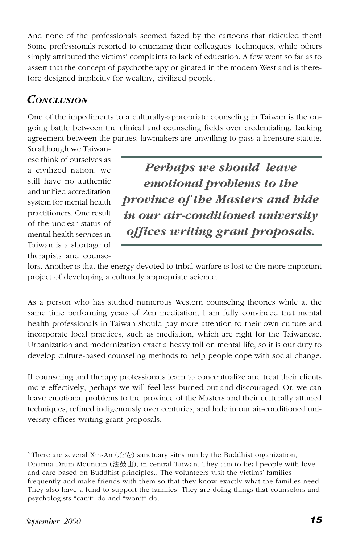And none of the professionals seemed fazed by the cartoons that ridiculed them! Some professionals resorted to criticizing their colleagues' techniques, while others simply attributed the victims' complaints to lack of education. A few went so far as to assert that the concept of psychotherapy originated in the modern West and is therefore designed implicitly for wealthy, civilized people.

# *CONCLUSION*

One of the impediments to a culturally-appropriate counseling in Taiwan is the ongoing battle between the clinical and counseling fields over credentialing. Lacking agreement between the parties, lawmakers are unwilling to pass a licensure statute.

So although we Taiwanese think of ourselves as a civilized nation, we still have no authentic and unified accreditation system for mental health practitioners. One result of the unclear status of mental health services in Taiwan is a shortage of therapists and counse-

*Perhaps we should leave emotional problems to the province of the Masters and hide in our air-conditioned university offices writing grant proposals.*

lors. Another is that the energy devoted to tribal warfare is lost to the more important project of developing a culturally appropriate science.

As a person who has studied numerous Western counseling theories while at the same time performing years of Zen meditation, I am fully convinced that mental health professionals in Taiwan should pay more attention to their own culture and incorporate local practices, such as mediation, which are right for the Taiwanese. Urbanization and modernization exact a heavy toll on mental life, so it is our duty to develop culture-based counseling methods to help people cope with social change.

If counseling and therapy professionals learn to conceptualize and treat their clients more effectively, perhaps we will feel less burned out and discouraged. Or, we can leave emotional problems to the province of the Masters and their culturally attuned techniques, refined indigenously over centuries, and hide in our air-conditioned university offices writing grant proposals.

<sup>&</sup>lt;sup>5</sup> There are several Xin-An  $( \hat{U} \hat{\mathcal{F}} )$  sanctuary sites run by the Buddhist organization, Dharma Drum Mountain (法鼓山), in central Taiwan. They aim to heal people with love and care based on Buddhist principles.. The volunteers visit the victims' families frequently and make friends with them so that they know exactly what the families need. They also have a fund to support the families. They are doing things that counselors and psychologists "can't" do and "won't" do.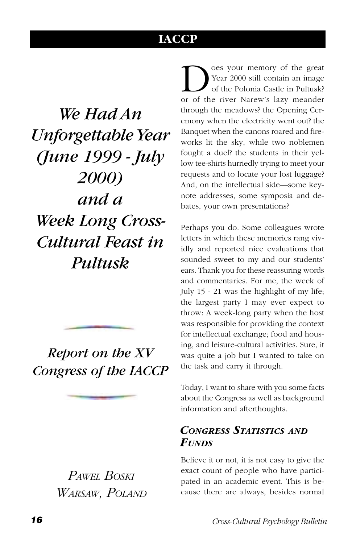# **IACCP**

<span id="page-17-0"></span>*We Had An Unforgettable Year (June 1999 - July 2000) and a Week Long Cross-Cultural Feast in Pultusk*

# *Report on the XV Congress of the IACCP*

*PAWEL BOSKI WARSAW, POLAND*

**D** oes your memory of the great<br>Year 2000 still contain an image<br>of the river Narew's lazy meander Year 2000 still contain an image of the Polonia Castle in Pultusk? or of the river Narew's lazy meander through the meadows? the Opening Ceremony when the electricity went out? the Banquet when the canons roared and fireworks lit the sky, while two noblemen fought a duel? the students in their yellow tee-shirts hurriedly trying to meet your requests and to locate your lost luggage? And, on the intellectual side—some keynote addresses, some symposia and debates, your own presentations?

Perhaps you do. Some colleagues wrote letters in which these memories rang vividly and reported nice evaluations that sounded sweet to my and our students' ears. Thank you for these reassuring words and commentaries. For me, the week of July 15 - 21 was the highlight of my life; the largest party I may ever expect to throw: A week-long party when the host was responsible for providing the context for intellectual exchange; food and housing, and leisure-cultural activities. Sure, it was quite a job but I wanted to take on the task and carry it through.

Today, I want to share with you some facts about the Congress as well as background information and afterthoughts.

# *CONGRESS STATISTICS AND FUNDS*

Believe it or not, it is not easy to give the exact count of people who have participated in an academic event. This is because there are always, besides normal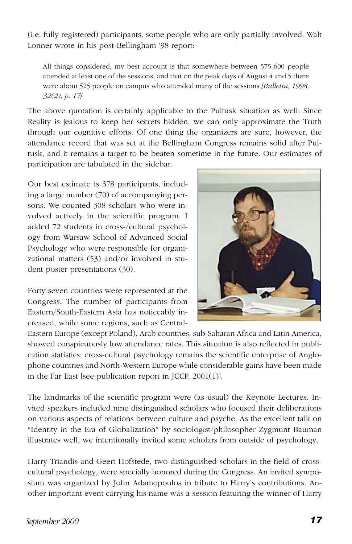(i.e. fully registered) participants, some people who are only partially involved. Walt Lonner wrote in his post-Bellingham '98 report:

All things considered, my best account is that somewhere between 575-600 people attended at least one of the sessions, and that on the peak days of August 4 and 5 there were about 525 people on campus who attended many of the sessions *[Bulletin, 1998, 32(2), p. 17]*

The above quotation is certainly applicable to the Pultusk situation as well: Since Reality is jealous to keep her secrets hidden, we can only approximate the Truth through our cognitive efforts. Of one thing the organizers are sure, however, the attendance record that was set at the Bellingham Congress remains solid after Pultusk, and it remains a target to be beaten sometime in the future. Our estimates of participation are tabulated in the sidebar.

Our best estimate is 378 participants, including a large number (70) of accompanying persons. We counted 308 scholars who were involved actively in the scientific program. I added 72 students in cross-/cultural psychology from Warsaw School of Advanced Social Psychology who were responsible for organizational matters (53) and/or involved in student poster presentations (30).

Forty seven countries were represented at the Congress. The number of participants from Eastern/South-Eastern Asia has noticeably increased, while some regions, such as Central-



Eastern Europe (except Poland), Arab countries, sub-Saharan Africa and Latin America, showed conspicuously low attendance rates. This situation is also reflected in publication statistics: cross-cultural psychology remains the scientific enterprise of Anglophone countries and North-Western Europe while considerable gains have been made in the Far East [see publication report in JCCP, 2001(1)].

The landmarks of the scientific program were (as usual) the Keynote Lectures. Invited speakers included nine distinguished scholars who focused their deliberations on various aspects of relations between culture and psyche. As the excellent talk on "Identity in the Era of Globalization" by sociologist/philosopher Zygmunt Bauman illustrates well, we intentionally invited some scholars from outside of psychology.

Harry Triandis and Geert Hofstede, two distinguished scholars in the field of crosscultural psychology, were specially honored during the Congress. An invited symposium was organized by John Adamopoulos in tribute to Harry's contributions. Another important event carrying his name was a session featuring the winner of Harry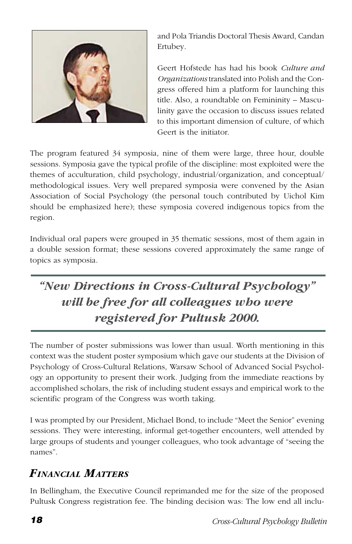

and Pola Triandis Doctoral Thesis Award, Candan Ertubey.

Geert Hofstede has had his book *Culture and Organizations* translated into Polish and the Congress offered him a platform for launching this title. Also, a roundtable on Femininity – Masculinity gave the occasion to discuss issues related to this important dimension of culture, of which Geert is the initiator.

The program featured 34 symposia, nine of them were large, three hour, double sessions. Symposia gave the typical profile of the discipline: most exploited were the themes of acculturation, child psychology, industrial/organization, and conceptual/ methodological issues. Very well prepared symposia were convened by the Asian Association of Social Psychology (the personal touch contributed by Uichol Kim should be emphasized here); these symposia covered indigenous topics from the region.

Individual oral papers were grouped in 35 thematic sessions, most of them again in a double session format; these sessions covered approximately the same range of topics as symposia.

# *"New Directions in Cross-Cultural Psychology" will be free for all colleagues who were registered for Pultusk 2000.*

The number of poster submissions was lower than usual. Worth mentioning in this context was the student poster symposium which gave our students at the Division of Psychology of Cross-Cultural Relations, Warsaw School of Advanced Social Psychology an opportunity to present their work. Judging from the immediate reactions by accomplished scholars, the risk of including student essays and empirical work to the scientific program of the Congress was worth taking.

I was prompted by our President, Michael Bond, to include "Meet the Senior" evening sessions. They were interesting, informal get-together encounters, well attended by large groups of students and younger colleagues, who took advantage of "seeing the names".

# *FINANCIAL MATTERS*

In Bellingham, the Executive Council reprimanded me for the size of the proposed Pultusk Congress registration fee. The binding decision was: The low end all inclu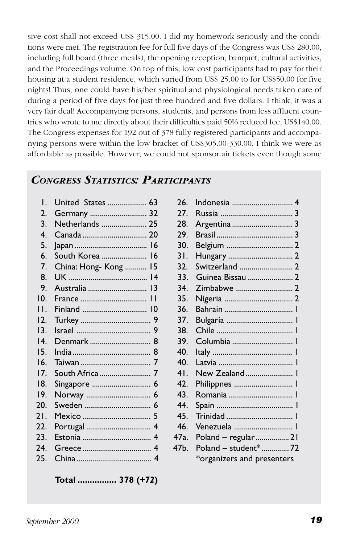sive cost shall not exceed US\$ 315.00. I did my homework seriously and the conditions were met. The registration fee for full five days of the Congress was US\$ 280.00, including full board (three meals), the opening reception, banquet, cultural activities, and the Proceedings volume. On top of this, low cost participants had to pay for their housing at a student residence, which varied from US\$ 25.00 to for US\$50.00 for five nights! Thus, one could have his/her spiritual and physiological needs taken care of during a period of five days for just three hundred and five dollars. I think, it was a very fair deal! Accompanying persons, students, and persons from less affluent countries who wrote to me directly about their difficulties paid 50% reduced fee, US\$140.00. The Congress expenses for 192 out of 378 fully registered participants and accompanying persons were within the low bracket of US\$305.00-330.00. I think we were as affordable as possible. However, we could not sponsor air tickets even though some

# *CONGRESS STATISTICS: PARTICIPANTS*

| Ι.                | United States  63              |
|-------------------|--------------------------------|
| $\overline{2}$ .  | Germany  32                    |
| 3.                | Netherlands  25                |
| 4.                |                                |
| 5.                |                                |
| 6.                | South Korea<br>$\overline{16}$ |
| 7.                | China: Hong-Kong  15           |
| 8.                |                                |
| 9.                | Australia  13                  |
| 10.               | France  11                     |
| Н.                |                                |
| 12.               |                                |
| 13.               |                                |
| $\overline{14}$ . |                                |
| 15.               |                                |
| 16.               |                                |
| 17.               |                                |
| 18.               |                                |
| 19.               |                                |
| 20.               |                                |
| 21.               |                                |
| 22.               |                                |
| 23.               |                                |
| 24.               |                                |
| 25.               |                                |
|                   |                                |

**Total ................ 378 (+***72***)**

|                 | United States  63    | 26.             |                            |
|-----------------|----------------------|-----------------|----------------------------|
| 2.              | Germany  32          | 27.             |                            |
| 3.              |                      | 28.             |                            |
| 4.              |                      | 29.             |                            |
| 5.              |                      | 30.             |                            |
| 6.              | South Korea  16      | 31.             |                            |
| 7.              | China: Hong-Kong  15 | 32.             | Switzerland  2             |
| 8.              |                      | 33.             | Guinea Bissau  2           |
| 9.              |                      | 34.             |                            |
| $10^{-1}$       |                      | 35.             |                            |
| $\mathbf{L}$    |                      | 36.             |                            |
| 12.             |                      | 37.             |                            |
| $\overline{13}$ |                      | 38.             |                            |
| $\overline{14}$ |                      | 39.             | Columbia  1                |
| 15.             |                      | 40.             |                            |
| 16.             |                      | 40.             |                            |
| 17.             |                      | 41.             | New Zealand  1             |
| 18.             | Singapore  6         | 42.             | Philippnes                 |
| 19.             |                      | 43.             |                            |
| 20.             |                      | 44.             |                            |
| 21.             |                      | 45.             |                            |
| 22.             |                      | 46.             | Venezuela                  |
| 23.             |                      | 47a.            | Poland - regular  21       |
| 24.             |                      | 47 <sub>b</sub> | Poland - student*72        |
| 25.             |                      |                 | *organizers and presenters |
|                 |                      |                 |                            |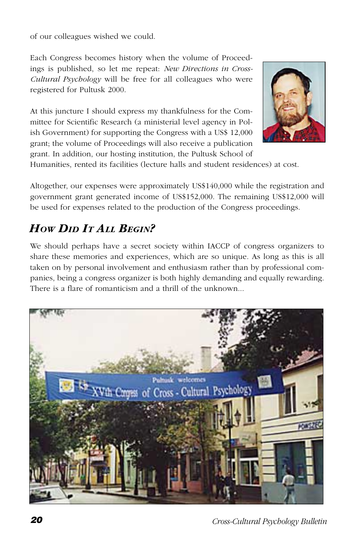of our colleagues wished we could.

Each Congress becomes history when the volume of Proceedings is published, so let me repeat: *New Directions in Cross-Cultural Psychology* will be free for all colleagues who were registered for Pultusk 2000.

At this juncture I should express my thankfulness for the Committee for Scientific Research (a ministerial level agency in Polish Government) for supporting the Congress with a US\$ 12,000 grant; the volume of Proceedings will also receive a publication grant. In addition, our hosting institution, the Pultusk School of



Humanities, rented its facilities (lecture halls and student residences) at cost.

Altogether, our expenses were approximately US\$140,000 while the registration and government grant generated income of US\$152,000. The remaining US\$12,000 will be used for expenses related to the production of the Congress proceedings.

# *How Din It All BEGIN?*

We should perhaps have a secret society within IACCP of congress organizers to share these memories and experiences, which are so unique. As long as this is all taken on by personal involvement and enthusiasm rather than by professional companies, being a congress organizer is both highly demanding and equally rewarding. There is a flare of romanticism and a thrill of the unknown...

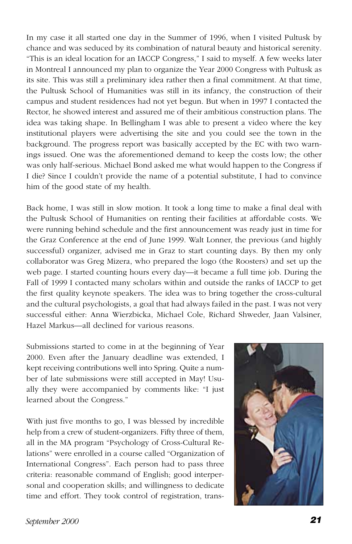In my case it all started one day in the Summer of 1996, when I visited Pultusk by chance and was seduced by its combination of natural beauty and historical serenity. "This is an ideal location for an IACCP Congress," I said to myself. A few weeks later in Montreal I announced my plan to organize the Year 2000 Congress with Pultusk as its site. This was still a preliminary idea rather then a final commitment. At that time, the Pultusk School of Humanities was still in its infancy, the construction of their campus and student residences had not yet begun. But when in 1997 I contacted the Rector, he showed interest and assured me of their ambitious construction plans. The idea was taking shape. In Bellingham I was able to present a video where the key institutional players were advertising the site and you could see the town in the background. The progress report was basically accepted by the EC with two warnings issued. One was the aforementioned demand to keep the costs low; the other was only half-serious. Michael Bond asked me what would happen to the Congress if I die? Since I couldn't provide the name of a potential substitute, I had to convince him of the good state of my health.

Back home, I was still in slow motion. It took a long time to make a final deal with the Pultusk School of Humanities on renting their facilities at affordable costs. We were running behind schedule and the first announcement was ready just in time for the Graz Conference at the end of June 1999. Walt Lonner, the previous (and highly successful) organizer, advised me in Graz to start counting days. By then my only collaborator was Greg Mizera, who prepared the logo (the Roosters) and set up the web page. I started counting hours every day—it became a full time job. During the Fall of 1999 I contacted many scholars within and outside the ranks of IACCP to get the first quality keynote speakers. The idea was to bring together the cross-cultural and the cultural psychologists, a goal that had always failed in the past. I was not very successful either: Anna Wierzbicka, Michael Cole, Richard Shweder, Jaan Valsiner, Hazel Markus—all declined for various reasons.

Submissions started to come in at the beginning of Year 2000. Even after the January deadline was extended, I kept receiving contributions well into Spring. Quite a number of late submissions were still accepted in May! Usually they were accompanied by comments like: "I just learned about the Congress."

With just five months to go, I was blessed by incredible help from a crew of student-organizers. Fifty three of them, all in the MA program "Psychology of Cross-Cultural Relations" were enrolled in a course called "Organization of International Congress". Each person had to pass three criteria: reasonable command of English; good interpersonal and cooperation skills; and willingness to dedicate time and effort. They took control of registration, trans-

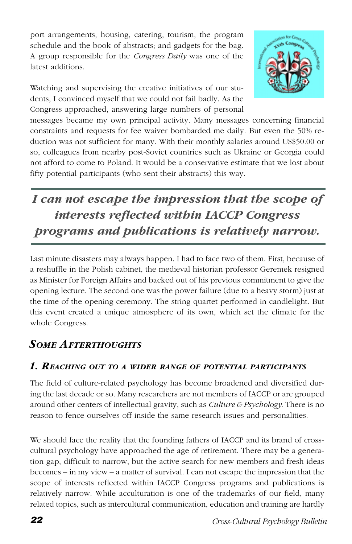port arrangements, housing, catering, tourism, the program schedule and the book of abstracts; and gadgets for the bag. A group responsible for the *Congress Daily* was one of the latest additions.

Watching and supervising the creative initiatives of our students, I convinced myself that we could not fail badly. As the Congress approached, answering large numbers of personal



messages became my own principal activity. Many messages concerning financial constraints and requests for fee waiver bombarded me daily. But even the 50% reduction was not sufficient for many. With their monthly salaries around US\$50.00 or so, colleagues from nearby post-Soviet countries such as Ukraine or Georgia could not afford to come to Poland. It would be a conservative estimate that we lost about fifty potential participants (who sent their abstracts) this way.

# *I can not escape the impression that the scope of interests reflected within IACCP Congress programs and publications is relatively narrow.*

Last minute disasters may always happen. I had to face two of them. First, because of a reshuffle in the Polish cabinet, the medieval historian professor Geremek resigned as Minister for Foreign Affairs and backed out of his previous commitment to give the opening lecture. The second one was the power failure (due to a heavy storm) just at the time of the opening ceremony. The string quartet performed in candlelight. But this event created a unique atmosphere of its own, which set the climate for the whole Congress.

# *SOME AFTERTHOUGHTS*

### *1. REACHING OUT TO <sup>A</sup> WIDER RANGE OF POTENTIAL PARTICIPANTS*

The field of culture-related psychology has become broadened and diversified during the last decade or so. Many researchers are not members of IACCP or are grouped around other centers of intellectual gravity, such as *Culture & Psychology*. There is no reason to fence ourselves off inside the same research issues and personalities.

We should face the reality that the founding fathers of IACCP and its brand of crosscultural psychology have approached the age of retirement. There may be a generation gap, difficult to narrow, but the active search for new members and fresh ideas becomes – in my view – a matter of survival. I can not escape the impression that the scope of interests reflected within IACCP Congress programs and publications is relatively narrow. While acculturation is one of the trademarks of our field, many related topics, such as intercultural communication, education and training are hardly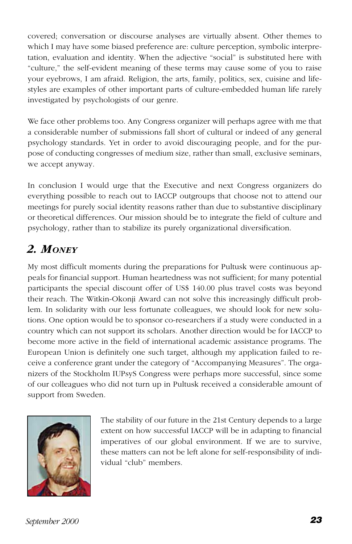covered; conversation or discourse analyses are virtually absent. Other themes to which I may have some biased preference are: culture perception, symbolic interpretation, evaluation and identity. When the adjective "social" is substituted here with "culture," the self-evident meaning of these terms may cause some of you to raise your eyebrows, I am afraid. Religion, the arts, family, politics, sex, cuisine and lifestyles are examples of other important parts of culture-embedded human life rarely investigated by psychologists of our genre.

We face other problems too. Any Congress organizer will perhaps agree with me that a considerable number of submissions fall short of cultural or indeed of any general psychology standards. Yet in order to avoid discouraging people, and for the purpose of conducting congresses of medium size, rather than small, exclusive seminars, we accept anyway.

In conclusion I would urge that the Executive and next Congress organizers do everything possible to reach out to IACCP outgroups that choose not to attend our meetings for purely social identity reasons rather than due to substantive disciplinary or theoretical differences. Our mission should be to integrate the field of culture and psychology, rather than to stabilize its purely organizational diversification.

# *2. MONEY*

My most difficult moments during the preparations for Pultusk were continuous appeals for financial support. Human heartedness was not sufficient; for many potential participants the special discount offer of US\$ 140.00 plus travel costs was beyond their reach. The Witkin-Okonji Award can not solve this increasingly difficult problem. In solidarity with our less fortunate colleagues, we should look for new solutions. One option would be to sponsor co-researchers if a study were conducted in a country which can not support its scholars. Another direction would be for IACCP to become more active in the field of international academic assistance programs. The European Union is definitely one such target, although my application failed to receive a conference grant under the category of "Accompanying Measures". The organizers of the Stockholm IUPsyS Congress were perhaps more successful, since some of our colleagues who did not turn up in Pultusk received a considerable amount of support from Sweden.



The stability of our future in the 21st Century depends to a large extent on how successful IACCP will be in adapting to financial imperatives of our global environment. If we are to survive, these matters can not be left alone for self-responsibility of individual "club" members.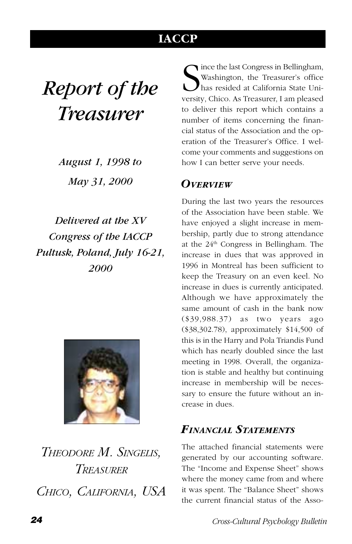# **IACCP**

# <span id="page-25-0"></span>*Report of the Treasurer*

*August 1, 1998 to May 31, 2000*

*Delivered at the XV Congress of the IACCP Pultusk, Poland, July 16-21, 2000*



*THEODORE M. SINGELIS, TREASURER CHICO, CALIFORNIA, USA*

Since the last Congress in Bellingham,<br>
Washington, the Treasurer's office<br>
has resided at California State University, Chico. As Treasurer, I am pleased ince the last Congress in Bellingham, Washington, the Treasurer's office has resided at California State Unito deliver this report which contains a number of items concerning the financial status of the Association and the operation of the Treasurer's Office. I welcome your comments and suggestions on how I can better serve your needs.

## *OVERVIEW*

During the last two years the resources of the Association have been stable. We have enjoyed a slight increase in membership, partly due to strong attendance at the  $24<sup>th</sup>$  Congress in Bellingham. The increase in dues that was approved in 1996 in Montreal has been sufficient to keep the Treasury on an even keel. No increase in dues is currently anticipated. Although we have approximately the same amount of cash in the bank now (\$39,988.37) as two years ago (\$38,302.78), approximately \$14,500 of this is in the Harry and Pola Triandis Fund which has nearly doubled since the last meeting in 1998. Overall, the organization is stable and healthy but continuing increase in membership will be necessary to ensure the future without an increase in dues.

# *FINANCIAL STATEMENTS*

The attached financial statements were generated by our accounting software. The "Income and Expense Sheet" shows where the money came from and where it was spent. The "Balance Sheet" shows the current financial status of the Asso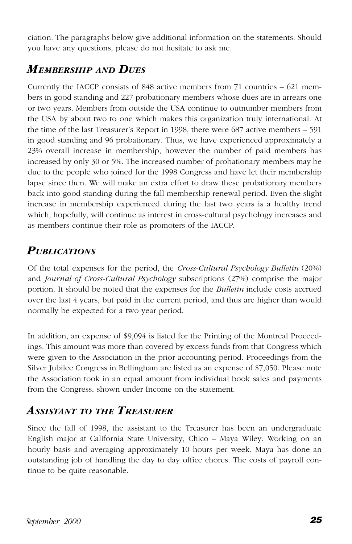ciation. The paragraphs below give additional information on the statements. Should you have any questions, please do not hesitate to ask me.

# *MEMBERSHIP AND DUES*

Currently the IACCP consists of 848 active members from 71 countries – 621 members in good standing and 227 probationary members whose dues are in arrears one or two years. Members from outside the USA continue to outnumber members from the USA by about two to one which makes this organization truly international. At the time of the last Treasurer's Report in 1998, there were 687 active members – 591 in good standing and 96 probationary. Thus, we have experienced approximately a 23% overall increase in membership, however the number of paid members has increased by only 30 or 5%. The increased number of probationary members may be due to the people who joined for the 1998 Congress and have let their membership lapse since then. We will make an extra effort to draw these probationary members back into good standing during the fall membership renewal period. Even the slight increase in membership experienced during the last two years is a healthy trend which, hopefully, will continue as interest in cross-cultural psychology increases and as members continue their role as promoters of the IACCP.

# *PUBLICATIONS*

Of the total expenses for the period, the *Cross-Cultural Psychology Bulletin* (20%) and *Journal of Cross-Cultural Psychology* subscriptions (27%) comprise the major portion. It should be noted that the expenses for the *Bulletin* include costs accrued over the last 4 years, but paid in the current period, and thus are higher than would normally be expected for a two year period.

In addition, an expense of \$9,094 is listed for the Printing of the Montreal Proceedings. This amount was more than covered by excess funds from that Congress which were given to the Association in the prior accounting period. Proceedings from the Silver Jubilee Congress in Bellingham are listed as an expense of \$7,050. Please note the Association took in an equal amount from individual book sales and payments from the Congress, shown under Income on the statement.

# *ASSISTANT TO THE TREASURER*

Since the fall of 1998, the assistant to the Treasurer has been an undergraduate English major at California State University, Chico – Maya Wiley. Working on an hourly basis and averaging approximately 10 hours per week, Maya has done an outstanding job of handling the day to day office chores. The costs of payroll continue to be quite reasonable.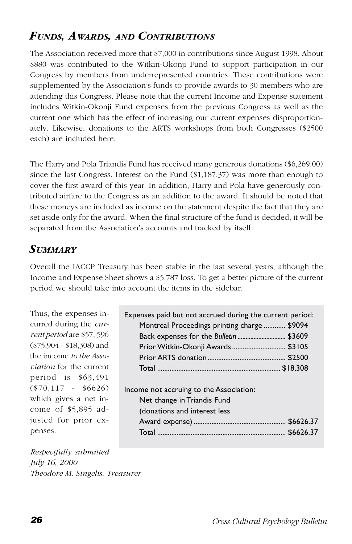# *FUNDS, AWARDS, AND CONTRIBUTIONS*

The Association received more that \$7,000 in contributions since August 1998. About \$880 was contributed to the Witkin-Okonji Fund to support participation in our Congress by members from underrepresented countries. These contributions were supplemented by the Association's funds to provide awards to 30 members who are attending this Congress. Please note that the current Income and Expense statement includes Witkin-Okonji Fund expenses from the previous Congress as well as the current one which has the effect of increasing our current expenses disproportionately. Likewise, donations to the ARTS workshops from both Congresses (\$2500 each) are included here.

The Harry and Pola Triandis Fund has received many generous donations (\$6,269.00) since the last Congress. Interest on the Fund (\$1,187.37) was more than enough to cover the first award of this year. In addition, Harry and Pola have generously contributed airfare to the Congress as an addition to the award. It should be noted that these moneys are included as income on the statement despite the fact that they are set aside only for the award. When the final structure of the fund is decided, it will be separated from the Association's accounts and tracked by itself.

# *SUMMARY*

Overall the IACCP Treasury has been stable in the last several years, although the Income and Expense Sheet shows a \$5,787 loss. To get a better picture of the current period we should take into account the items in the sidebar.

Thus, the expenses incurred during the *current period* are \$57, 596 (\$75,904 - \$18,308) and the income *to the Association* for the current period is \$63,491 (\$70,117 - \$6626) which gives a net income of \$5,895 adjusted for prior expenses.

| Expenses paid but not accrued during the current period: |  |
|----------------------------------------------------------|--|
| Montreal Proceedings printing charge  \$9094             |  |
|                                                          |  |
| Prior Witkin-Okonji Awards  \$3105                       |  |
|                                                          |  |
|                                                          |  |
|                                                          |  |
| Income not accruing to the Association:                  |  |
| Net change in Triandis Fund                              |  |
| (donations and interest less                             |  |
|                                                          |  |
|                                                          |  |
|                                                          |  |

*Respectfully submitted July 16, 2000 Theodore M. Singelis, Treasurer*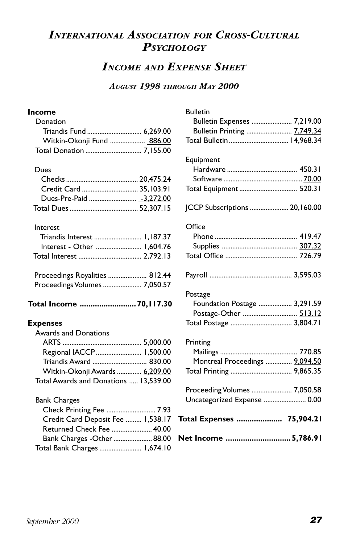# *INTERNATIONAL ASSOCIATION FOR CROSS-CULTURAL PSYCHOLOGY*

# *INCOME AND EXPENSE SHEET*

#### *AUGUST 1998 THROUGH MAY 2000*

#### **Income**

| Donation                   |  |
|----------------------------|--|
|                            |  |
| Witkin-Okonji Fund  886.00 |  |
|                            |  |

#### Dues

| Credit Card  35.103.91 |  |
|------------------------|--|
|                        |  |
|                        |  |

#### Interest

| Interest - Other  1.604.76 |  |
|----------------------------|--|
|                            |  |
|                            |  |

| Proceedings Royalities  812.44 |  |
|--------------------------------|--|
| Proceedings Volumes  7,050.57  |  |

**Total Income ..........................70,117.30**

#### **Expenses**

| Awards and Donations                  |  |
|---------------------------------------|--|
|                                       |  |
| Regional IACCP  1,500.00              |  |
|                                       |  |
| Witkin-Okonji Awards  6,209.00        |  |
| Total Awards and Donations  13,539.00 |  |

#### Bank Charges

| Check Printing Fee  7.93          |  |
|-----------------------------------|--|
| Credit Card Deposit Fee  1,538.17 |  |
| Returned Check Fee  40.00         |  |
| Bank Charges - Other  88.00       |  |
| Total Bank Charges  1,674.10      |  |

| Net Income  5,786.91                                                                                       |  |
|------------------------------------------------------------------------------------------------------------|--|
| Total Expenses  75,904.21                                                                                  |  |
| Proceeding Volumes  7,050.58<br>Uncategorized Expense  0.00                                                |  |
| Printing<br>Montreal Proceedings  9,094.50                                                                 |  |
| Postage<br>Foundation Postage  3,291.59<br>Postage-Other  513.12<br>Total Postage  3,804.71                |  |
|                                                                                                            |  |
| Office                                                                                                     |  |
| JCCP Subscriptions  20,160.00                                                                              |  |
| Equipment<br>Total Equipment  520.31                                                                       |  |
| <b>Bulletin</b><br>Bulletin Expenses  7,219.00<br>Bulletin Printing  7,749.34<br>Total Bulletin  14,968.34 |  |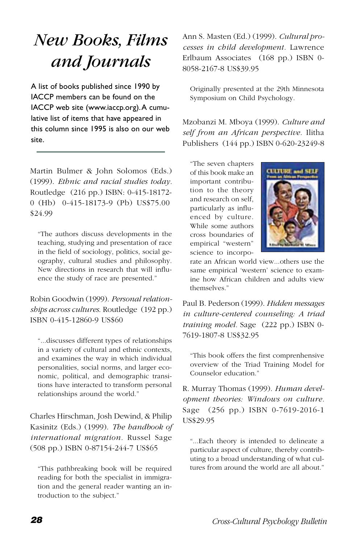# <span id="page-29-0"></span>*New Books, Films and Journals*

A list of books published since 1990 by IACCP members can be found on the IACCP web site (www.iaccp.org). A cumulative list of items that have appeared in this column since 1995 is also on our web site.

Martin Bulmer & John Solomos (Eds.) (1999). *Ethnic and racial studies today.* Routledge (216 pp.) ISBN: 0-415-18172- 0 (Hb) 0-415-18173-9 (Pb) US\$75.00 \$24.99

"The authors discuss developments in the teaching, studying and presentation of race in the field of sociology, politics, social geography, cultural studies and philosophy. New directions in research that will influence the study of race are presented."

Robin Goodwin (1999). *Personal relationships across cultures*. Routledge (192 pp.) ISBN 0-415-12860-9 US\$60

"...discusses different types of relationships in a variety of cultural and ethnic contexts, and examines the way in which individual personalities, social norms, and larger economic, political, and demographic transitions have interacted to transform personal relationships around the world."

Charles Hirschman, Josh Dewind, & Philip Kasinitz (Eds.) (1999). *The handbook of international migration.* Russel Sage (508 pp.) ISBN 0-87154-244-7 US\$65

"This pathbreaking book will be required reading for both the specialist in immigration and the general reader wanting an introduction to the subject."

Ann S. Masten (Ed.) (1999). *Cultural processes in child development.* Lawrence Erlbaum Associates (168 pp.) ISBN 0- 8058-2167-8 US\$39.95

Originally presented at the 29th Minnesota Symposium on Child Psychology.

Mzobanzi M. Mboya (1999). *Culture and self from an African perspective.* Ilitha Publishers (144 pp.) ISBN 0-620-23249-8

"The seven chapters of this book make an important contribution to the theory and research on self, particularly as influenced by culture. While some authors cross boundaries of empirical "western" science to incorpo-



rate an African world view...others use the same empirical 'western' science to examine how African children and adults view themselves."

Paul B. Pederson (1999). *Hidden messages in culture-centered counseling: A triad training model.* Sage (222 pp.) ISBN 0- 7619-1807-8 US\$32.95

"This book offers the first comprenhensive overview of the Triad Training Model for Counselor education."

R. Murray Thomas (1999). *Human development theories: Windows on culture.* Sage (256 pp.) ISBN 0-7619-2016-1 US\$29.95

"...Each theory is intended to delineate a particular aspect of culture, thereby contributing to a broad understanding of what cultures from around the world are all about."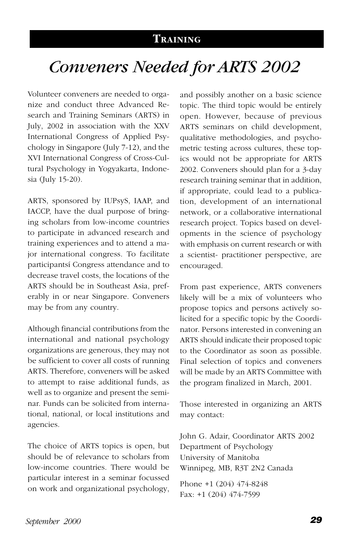## **TRAINING**

# *Conveners Needed for ARTS 2002*

<span id="page-30-0"></span>Volunteer conveners are needed to organize and conduct three Advanced Research and Training Seminars (ARTS) in July, 2002 in association with the XXV International Congress of Applied Psychology in Singapore (July 7-12), and the XVI International Congress of Cross-Cultural Psychology in Yogyakarta, Indonesia (July 15-20).

ARTS, sponsored by IUPsyS, IAAP, and IACCP, have the dual purpose of bringing scholars from low-income countries to participate in advanced research and training experiences and to attend a major international congress. To facilitate participantsí Congress attendance and to decrease travel costs, the locations of the ARTS should be in Southeast Asia, preferably in or near Singapore. Conveners may be from any country.

Although financial contributions from the international and national psychology organizations are generous, they may not be sufficient to cover all costs of running ARTS. Therefore, conveners will be asked to attempt to raise additional funds, as well as to organize and present the seminar. Funds can be solicited from international, national, or local institutions and agencies.

The choice of ARTS topics is open, but should be of relevance to scholars from low-income countries. There would be particular interest in a seminar focussed on work and organizational psychology,

and possibly another on a basic science topic. The third topic would be entirely open. However, because of previous ARTS seminars on child development, qualitative methodologies, and psychometric testing across cultures, these topics would not be appropriate for ARTS 2002. Conveners should plan for a 3-day research training seminar that in addition, if appropriate, could lead to a publication, development of an international network, or a collaborative international research project. Topics based on developments in the science of psychology with emphasis on current research or with a scientist- practitioner perspective, are encouraged.

From past experience, ARTS conveners likely will be a mix of volunteers who propose topics and persons actively solicited for a specific topic by the Coordinator. Persons interested in convening an ARTS should indicate their proposed topic to the Coordinator as soon as possible. Final selection of topics and conveners will be made by an ARTS Committee with the program finalized in March, 2001.

Those interested in organizing an ARTS may contact:

John G. Adair, Coordinator ARTS 2002 Department of Psychology University of Manitoba Winnipeg, MB, R3T 2N2 Canada

Phone +1 (204) 474-8248 Fax: +1 (204) 474-7599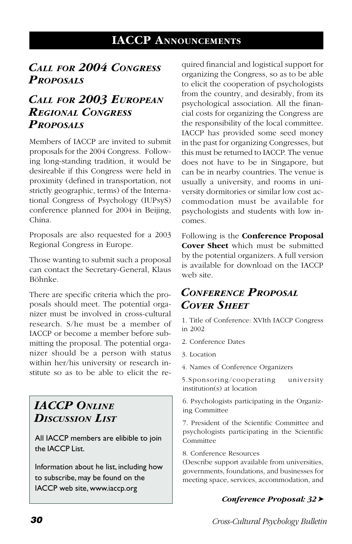# **IACCP ANNOUNCEMENTS**

# <span id="page-31-0"></span>*CALL FOR 2004 CONGRESS PROPOSALS*

# *CALL FOR 2003 EUROPEAN REGIONAL CONGRESS PROPOSALS*

Members of IACCP are invited to submit proposals for the 2004 Congress. Following long-standing tradition, it would be desireable if this Congress were held in proximity (defined in transportation, not strictly geographic, terms) of the International Congress of Psychology (IUPsyS) conference planned for 2004 in Beijing, China.

Proposals are also requested for a 2003 Regional Congress in Europe.

Those wanting to submit such a proposal can contact the Secretary-General, Klaus Böhnke.

There are specific criteria which the proposals should meet. The potential organizer must be involved in cross-cultural research. S/he must be a member of IACCP or become a member before submitting the proposal. The potential organizer should be a person with status within her/his university or research institute so as to be able to elicit the re-

# *IACCP ONLINE DISCUSSION LIST*

All IACCP members are elibible to join the IACCP List.

Information about he list, including how to subscribe, may be found on the IACCP web site, www.iaccp.org

quired financial and logistical support for organizing the Congress, so as to be able to elicit the cooperation of psychologists from the country, and desirably, from its psychological association. All the financial costs for organizing the Congress are the responsibility of the local committee. IACCP has provided some seed money in the past for organizing Congresses, but this must be returned to IACCP. The venue does not have to be in Singapore, but can be in nearby countries. The venue is usually a university, and rooms in university dormitories or similar low cost accommodation must be available for psychologists and students with low incomes.

Following is the **Conference Proposal Cover Sheet** which must be submitted by the potential organizers. A full version is available for download on the IACCP web site.

# *CONFERENCE PROPOSAL COVER SHEET*

1. Title of Conference: XVIth IACCP Congress in 2002

- 2. Conference Dates
- 3. Location
- 4. Names of Conference Organizers

5.Sponsoring/cooperating university institution(s) at location

6. Psychologists participating in the Organizing Committee

7. President of the Scientific Committee and psychologists participating in the Scientific Committee

8. Conference Resources

(Describe support available from universities, governments, foundations, and businesses for meeting space, services, accommodation, and

#### *Conference Proposal: 32*➤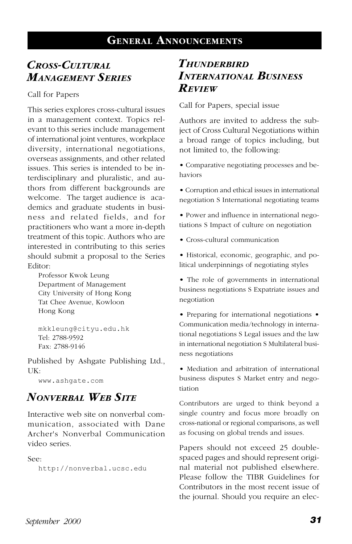# <span id="page-32-0"></span>*CROSS-CULTURAL MANAGEMENT SERIES*

Call for Papers

This series explores cross-cultural issues in a management context. Topics relevant to this series include management of international joint ventures, workplace diversity, international negotiations, overseas assignments, and other related issues. This series is intended to be interdisciplinary and pluralistic, and authors from different backgrounds are welcome. The target audience is academics and graduate students in business and related fields, and for practitioners who want a more in-depth treatment of this topic. Authors who are interested in contributing to this series should submit a proposal to the Series Editor:

Professor Kwok Leung Department of Management City University of Hong Kong Tat Chee Avenue, Kowloon Hong Kong

mkkleung@cityu.edu.hk Tel: 2788-9592 Fax: 2788-9146

Published by Ashgate Publishing Ltd., UK:

www.ashgate.com

# *NONVERBAL WEB SITE*

Interactive web site on nonverbal communication, associated with Dane Archer's Nonverbal Communication video series.

See:

http://nonverbal.ucsc.edu

# *THUNDERBIRD INTERNATIONAL BUSINESS REVIEW*

Call for Papers, special issue

Authors are invited to address the subject of Cross Cultural Negotiations within a broad range of topics including, but not limited to, the following:

• Comparative negotiating processes and behaviors

• Corruption and ethical issues in international negotiation S International negotiating teams

• Power and influence in international negotiations S Impact of culture on negotiation

• Cross-cultural communication

• Historical, economic, geographic, and political underpinnings of negotiating styles

• The role of governments in international business negotiations S Expatriate issues and negotiation

• Preparing for international negotiations • Communication media/technology in international negotiations S Legal issues and the law in international negotiation S Multilateral business negotiations

• Mediation and arbitration of international business disputes S Market entry and negotiation

Contributors are urged to think beyond a single country and focus more broadly on cross-national or regional comparisons, as well as focusing on global trends and issues.

Papers should not exceed 25 doublespaced pages and should represent original material not published elsewhere. Please follow the TIBR Guidelines for Contributors in the most recent issue of the journal. Should you require an elec-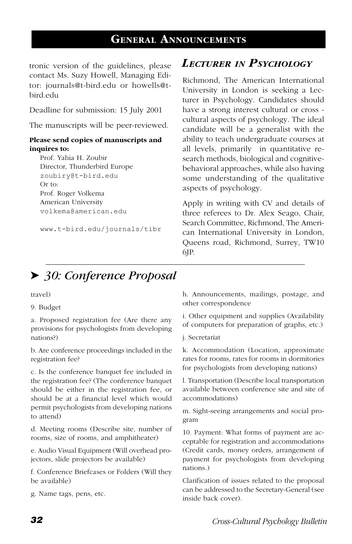# **GENERAL ANNOUNCEMENTS**

tronic version of the guidelines, please contact Ms. Suzy Howell, Managing Editor: journals@t-bird.edu or howells@tbird.edu

Deadline for submission: 15 July 2001

The manuscripts will be peer-reviewed.

#### **Please send copies of manuscripts and inquires to:**

Prof. Yahia H. Zoubir Director, Thunderbird Europe zoubiry@t-bird.edu Or to: Prof. Roger Volkema American University volkema@american.edu

www.t-bird.edu/journals/tibr

## *LECTURER IN PSYCHOLOGY*

Richmond, The American International University in London is seeking a Lecturer in Psychology. Candidates should have a strong interest cultural or cross cultural aspects of psychology. The ideal candidate will be a generalist with the ability to teach undergraduate courses at all levels, primarily in quantitative research methods, biological and cognitivebehavioral approaches, while also having some understanding of the qualitative aspects of psychology.

Apply in writing with CV and details of three referees to Dr. Alex Seago, Chair, Search Committee, Richmond, The American International University in London, Queens road, Richmond, Surrey, TW10 6JP.

# ➤ *30: Conference Proposal*

#### travel)

9. Budget

a. Proposed registration fee (Are there any provisions for psychologists from developing nations?)

b. Are conference proceedings included in the registration fee?

c. Is the conference banquet fee included in the registration fee? (The conference banquet should be either in the registration fee, or should be at a financial level which would permit psychologists from developing nations to attend)

d. Meeting rooms (Describe site, number of rooms, size of rooms, and amphitheater)

e. Audio Visual Equipment (Will overhead projectors, slide projectors be available)

f. Conference Briefcases or Folders (Will they be available)

g. Name tags, pens, etc.

h. Announcements, mailings, postage, and other correspondence

i. Other equipment and supplies (Availability of computers for preparation of graphs, etc.)

j. Secretariat

k. Accommodation (Location, approximate rates for rooms, rates for rooms in dormitories for psychologists from developing nations)

l. Transportation (Describe local transportation available between conference site and site of accommodations)

m. Sight-seeing arrangements and social program

10. Payment: What forms of payment are acceptable for registration and accommodations (Credit cards, money orders, arrangement of payment for psychologists from developing nations.)

Clarification of issues related to the proposal can be addressed to the Secretary-General (see inside back cover).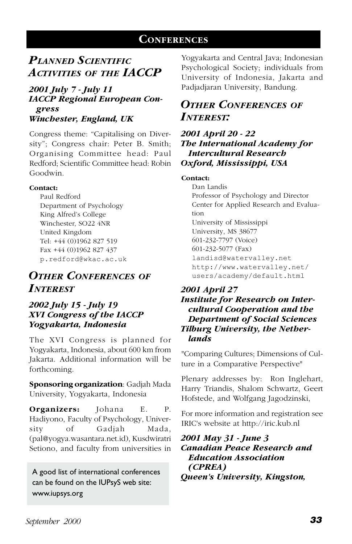# **CONFERENCES**

# <span id="page-34-0"></span>*PLANNED SCIENTIFIC ACTIVITIES OF THE IACCP*

#### *2001 July 7 - July 11 IACCP Regional European Congress Winchester, England, UK*

Congress theme: "Capitalising on Diversity"; Congress chair: Peter B. Smith; Organising Committee head: Paul Redford; Scientific Committee head: Robin Goodwin.

#### **Contact:**

Paul Redford Department of Psychology King Alfred's College Winchester, SO22 4NR United Kingdom Tel: +44 (0)1962 827 519 Fax +44 (0)1962 827 437 p.redford@wkac.ac.uk

# *OTHER CONFERENCES OF INTEREST*

#### *2002 July 15 - July 19 XVI Congress of the IACCP Yogyakarta, Indonesia*

The XVI Congress is planned for Yogyakarta, Indonesia, about 600 km from Jakarta. Additional information will be forthcoming.

**Sponsoring organization**: Gadjah Mada University, Yogyakarta, Indonesia

**Organizers:** Johana E. P. Hadiyono, Faculty of Psychology, University of Gadjah Mada, (pal@yogya.wasantara.net.id), Kusdwiratri Setiono, and faculty from universities in

A good list of international conferences can be found on the IUPsyS web site: www.iupsys.org

Yogyakarta and Central Java; Indonesian Psychological Society; individuals from University of Indonesia, Jakarta and Padjadjaran University, Bandung.

## *OTHER CONFERENCES OF INTEREST:*

*2001 April 20 - 22 The International Academy for Intercultural Research Oxford, Mississippi, USA*

#### **Contact:**

Dan Landis Professor of Psychology and Director Center for Applied Research and Evaluation University of Mississippi University, MS 38677 601-232-7797 (Voice) 601-232-5077 (Fax) landisd@watervalley.net http://www.watervalley.net/ users/academy/default.html

#### *2001 April 27 Institute for Research on Intercultural Cooperation and the Department of Social Sciences Tilburg University, the Netherlands*

"Comparing Cultures; Dimensions of Culture in a Comparative Perspective"

Plenary addresses by: Ron Inglehart, Harry Triandis, Shalom Schwartz, Geert Hofstede, and Wolfgang Jagodzinski,

For more information and registration see IRIC's website at http://iric.kub.nl

*2001 May 31 - June 3 Canadian Peace Research and Education Association (CPREA) Queen's University, Kingston,*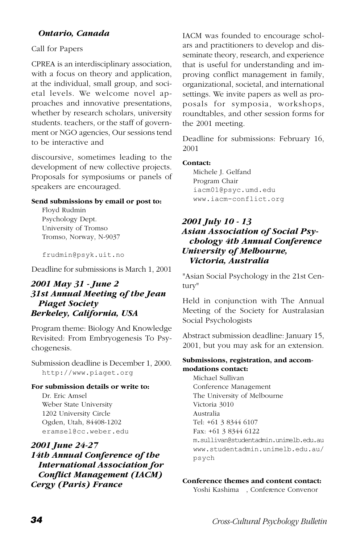#### *Ontario, Canada*

#### Call for Papers

CPREA is an interdisciplinary association, with a focus on theory and application, at the individual, small group, and societal levels. We welcome novel approaches and innovative presentations, whether by research scholars, university students. teachers, or the staff of government or NGO agencies, Our sessions tend to be interactive and

discoursive, sometimes leading to the development of new collective projects. Proposals for symposiums or panels of speakers are encouraged.

#### **Send submissions by email or post to:**

Floyd Rudmin Psychology Dept. University of Tromso Tromso, Norway, N-9037

frudmin@psyk.uit.no

Deadline for submissions is March 1, 2001

#### *2001 May 31 - June 2 31st Annual Meeting of the Jean Piaget Society Berkeley, California, USA*

Program theme: Biology And Knowledge Revisited: From Embryogenesis To Psychogenesis.

Submission deadline is December 1, 2000. http://www.piaget.org

#### **For submission details or write to:**

Dr. Eric Amsel Weber State University 1202 University Circle Ogden, Utah, 84408-1202 eramsel@cc.weber.edu

#### *2001 June 24-27 14th Annual Conference of the International Association for Conflict Management (IACM) Cergy (Paris) France*

IACM was founded to encourage scholars and practitioners to develop and disseminate theory, research, and experience that is useful for understanding and improving conflict management in family, organizational, societal, and international settings. We invite papers as well as proposals for symposia, workshops, roundtables, and other session forms for the 2001 meeting.

Deadline for submissions: February 16, 2001

#### **Contact:**

Michele J. Gelfand Program Chair iacm01@psyc.umd.edu www.iacm-conflict.org

#### *2001 July 10 - 13 Asian Association of Social Psychology 4th Annual Conference University of Melbourne, Victoria, Australia*

"Asian Social Psychology in the 21st Century"

Held in conjunction with The Annual Meeting of the Society for Australasian Social Psychologists

Abstract submission deadline: January 15, 2001, but you may ask for an extension.

#### **Submissions, registration, and accommodations contact:**

Michael Sullivan Conference Management The University of Melbourne Victoria 3010 Australia Tel: +61 3 8344 6107 Fax: +61 3 8344 6122 m.sullivan@studentadmin.unimelb.edu.au www.studentadmin.unimelb.edu.au/ psych

#### **Conference themes and content contact:**

Yoshi Kashima , Conference Convenor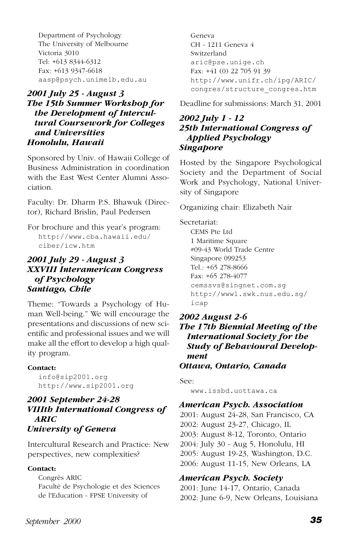Department of Psychology The University of Melbourne Victoria 3010 Tel: +613 8344-6312 Fax: +613 9347-6618 aasp@psych.unimelb.edu.au

#### *2001 July 25 - August 3 The 15th Summer Workshop for the Development of Intercultural Coursework for Colleges and Universities Honolulu, Hawaii*

Sponsored by Univ. of Hawaii College of Business Administration in coordination with the East West Center Alumni Association.

Faculty: Dr. Dharm P.S. Bhawuk (Director), Richard Brislin, Paul Pedersen

For brochure and this year's program: http://www.cba.hawaii.edu/ ciber/icw.htm

#### *2001 July 29 - August 3 XXVIII Interamerican Congress of Psychology Santiago, Chile*

Theme: "Towards a Psychology of Human Well-being." We will encourage the presentations and discussions of new scientific and professional issues and we will make all the effort to develop a high quality program.

#### **Contact:**

info@sip2001.org http://www.sip2001.org

#### *2001 September 24-28 VIIIth International Congress of ARIC University of Geneva*

Intercultural Research and Practice: New perspectives, new complexities?

#### **Contact:**

Congrès ARIC Faculté de Psychologie et des Sciences de l'Education - FPSE University of

Geneva CH - 1211 Geneva 4 Switzerland aric@pse.unige.ch Fax: +41 (0) 22 705 91 39 http://www.unifr.ch/ipg/ARIC/ congres/structure\_congres.htm

Deadline for submissions: March 31, 2001

#### *2002 July 1 - 12 25th International Congress of Applied Psychology Singapore*

Hosted by the Singapore Psychological Society and the Department of Social Work and Psychology, National University of Singapore

Organizing chair: Elizabeth Nair

Secretariat:

CEMS Pte Ltd 1 Maritime Square #09-43 World Trade Centre Singapore 099253 Tel.: +65 278-8666 Fax: +65 278-4077 cemssvs@singnet.com.sg http://www1.swk.nus.edu.sg/ icap

*2002 August 2-6 The 17th Biennial Meeting of the International Society for the Study of Behavioural Development Ottawa, Ontario, Canada*

See:

www.issbd.uottawa.ca

#### *American Psych. Association*

2001: August 24-28, San Francisco, CA 2002: August 23-27, Chicago, IL 2003: August 8-12, Toronto, Ontario 2004: July 30 - Aug 5, Honolulu, HI 2005: August 19-23, Washington, D.C. 2006: August 11-15, New Orleans, LA

#### *American Psych. Society*

2001: June 14-17, Ontario, Canada 2002: June 6-9, New Orleans, Louisiana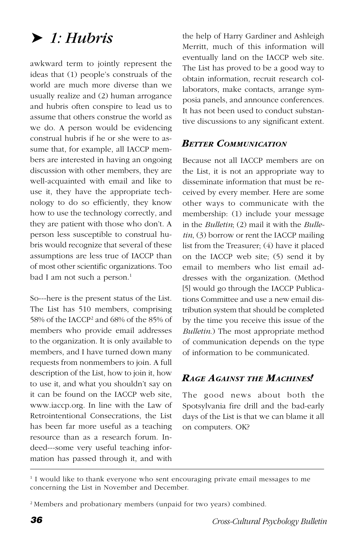# ➤ *1: Hubris*

awkward term to jointly represent the ideas that (1) people's construals of the world are much more diverse than we usually realize and (2) human arrogance and hubris often conspire to lead us to assume that others construe the world as we do. A person would be evidencing construal hubris if he or she were to assume that, for example, all IACCP members are interested in having an ongoing discussion with other members, they are well-acquainted with email and like to use it, they have the appropriate technology to do so efficiently, they know how to use the technology correctly, and they are patient with those who don't. A person less susceptible to construal hubris would recognize that several of these assumptions are less true of IACCP than of most other scientific organizations. Too bad I am not such a person.<sup>1</sup>

So---here is the present status of the List. The List has 510 members, comprising 58% of the IACCP2 and 68% of the 85% of members who provide email addresses to the organization. It is only available to members, and I have turned down many requests from nonmembers to join. A full description of the List, how to join it, how to use it, and what you shouldn't say on it can be found on the IACCP web site, www.iaccp.org. In line with the Law of Retrointentional Consecrations, the List has been far more useful as a teaching resource than as a research forum. Indeed---some very useful teaching information has passed through it, and with

the help of Harry Gardiner and Ashleigh Merritt, much of this information will eventually land on the IACCP web site. The List has proved to be a good way to obtain information, recruit research collaborators, make contacts, arrange symposia panels, and announce conferences. It has not been used to conduct substantive discussions to any significant extent.

#### *BETTER COMMUNICATION*

Because not all IACCP members are on the List, it is not an appropriate way to disseminate information that must be received by every member. Here are some other ways to communicate with the membership: (1) include your message in the *Bulletin*; (2) mail it with the *Bulletin*, (3) borrow or rent the IACCP mailing list from the Treasurer; (4) have it placed on the IACCP web site; (5) send it by email to members who list email addresses with the organization. (Method [5] would go through the IACCP Publications Committee and use a new email distribution system that should be completed by the time you receive this issue of the *Bulletin*.) The most appropriate method of communication depends on the type of information to be communicated.

#### *RAGE AGAINST THE MACHINES!*

The good news about both the Spotsylvania fire drill and the bad-early days of the List is that we can blame it all on computers. OK?

<sup>1</sup> I would like to thank everyone who sent encouraging private email messages to me concerning the List in November and December.

<sup>2</sup> Members and probationary members (unpaid for two years) combined.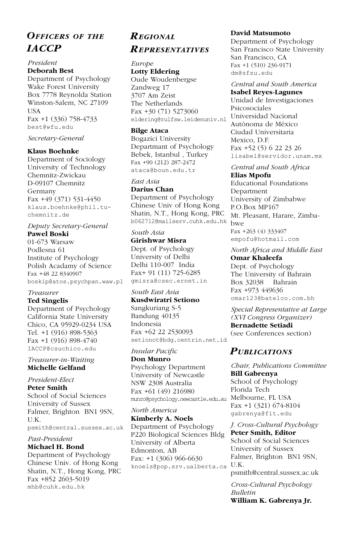# *OFFICERS OF THE IACCP*

#### *President* **Deborah Best**

Department of Psychology Wake Forest University Box 7778 Reynolda Station Winston-Salem, NC 27109 USA Fax +1 (336) 758-4733 best@wfu.edu

#### *Secretary-General*

#### **Klaus Boehnke**

Department of Sociology University of Technology Chemnitz-Zwickau D-09107 Chemnitz Germany Fax +49 (371) 531-4450 klaus.boehnke@phil.tuchemnitz.de

*Deputy Secretary-General* **Pawel Boski** 01-673 Warsaw

Podlesna 61 Institute of Psychology Polish Acadamy of Science Fax +48 22 8340907 boskip@atos.psychpan.waw.pl

#### *Treasurer*

**Ted Singelis** Department of Psychology California State University Chico, CA 95929-0234 USA Tel. +1 (916) 898-5363 Fax +1 (916) 898-4740 IACCP@csuchico.edu

#### *Treasurer-in-Waiting* **Michelle Gelfand**

*President-Elect* **Peter Smith** School of Social Sciences University of Sussex Falmer, Brighton BN1 9SN, U.K. psmith@central.sussex.ac.uk

#### *Past-President* **Michael H. Bond**

Department of Psychology Chinese Univ. of Hong Kong Shatin, N.T., Hong Kong, PRC Fax +852 2603-5019 mhb@cuhk.edu.hk

## *REGIONAL REPRESENTATIVES*

#### *Europe* **Lotty Eldering**

Oude Woudenbergse Zandweg 17 3707 Am Zeist The Netherlands Fax +30 (71) 5273060 eldering@rulfsw.leidenuniv.nl

#### **Bilge Ataca**

Bogazici University Departmant of Psychology Bebek, Istanbul , Turkey Fax +90 (212) 287-2472 ataca@boun.edu.tr

#### *East Asia* **Darius Chan**

Department of Psychology Chinese Univ of Hong Kong Shatin, N.T., Hong Kong, PRC b062712@mailserv.cuhk.edu.hk bwe

*South Asia* **Girishwar Misra** Dept. of Psychology University of Delhi Delhi 110-007 India Fax+ 91 (11) 725-6285 gmisra@csec.ernet.in

#### *South East Asia*

**Kusdwiratri Setiono** Sangkuriang S-5 Bandung 40135 Indonesia Fax +62 22 2530093 setionot@bdg.centrin.net.id

*Insular Pacific* **Don Munro** Psychology Department University of Newcastle NSW 2308 Australia

Fax +61 (49) 216980 munro@psychology.newcastle.edu.au Melbourne, FL USA

*North America* **Kimberly A. Noels** Department of Psychology P220 Biological Sciences Bldg University of Alberta Edmonton, AB Fax: +1 (306) 966-6630 knoels@pop.srv.ualberta.ca U.K.

#### **David Matsumoto**

Department of Psychology San Francisco State University San Francisco, CA Fax +1 (510) 236-9171 dm@sfsu.edu

#### *Central and South America* **Isabel Reyes-Lagunes**

Unidad de Investigaciones Psicosociales Universidad Nacional Autónoma de México Ciudad Universitaria Mexico, D.F. Fax +52 (5) 6 22 23 26 lisabel@servidor.unam.mx

#### *Central and South Africa*

**Elias Mpofu** Educational Foundations Department University of Zimbabwe P.O.Box MP167 Mt. Pleasant, Harare, Zimba-Fax +263 (4) 333407 empofu@hotmail.com

*North Africa and Middle East* **Omar Khaleefa**

Dept. of Psychology The University of Bahrain Box 32038 Bahrain Fax +973 449636 omar123@batelco.com.bh

*Special Representative at Large (XVI Congress Organizer)*

**Bernadette Setiadi** (see Conferences section)

#### *PUBLICATIONS*

*Chair, Publications Committee* **Bill Gabrenya** School of Psychology Florida Tech Fax +1 (321) 674-8104 gabrenya@fit.edu

*J. Cross-Cultural Psychology* **Peter Smith, Editor** School of Social Sciences University of Sussex Falmer, Brighton BN1 9SN, psmith@central.sussex.ac.uk

*Cross-Cultural Psychology Bulletin* **William K. Gabrenya Jr.**